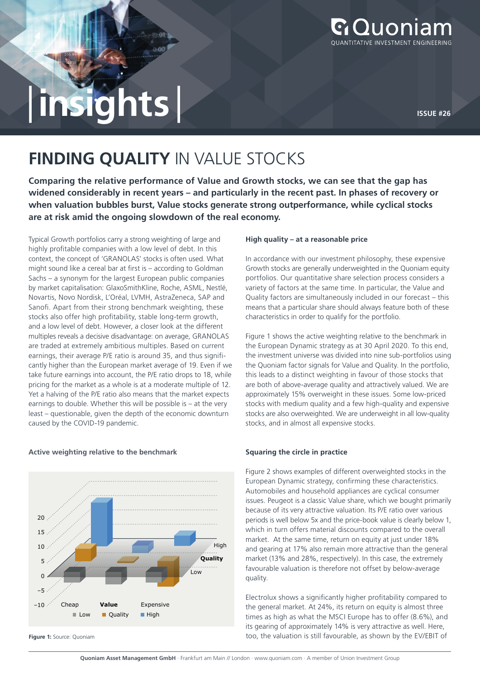

# |**insights** | **ISSUE #26**

## **FINDING QUALITY** IN VALUE STOCKS

**Comparing the relative performance of Value and Growth stocks, we can see that the gap has widened considerably in recent years – and particularly in the recent past. In phases of recovery or when valuation bubbles burst, Value stocks generate strong outperformance, while cyclical stocks are at risk amid the ongoing slowdown of the real economy.**

Typical Growth portfolios carry a strong weighting of large and highly profitable companies with a low level of debt. In this context, the concept of 'GRANOLAS' stocks is often used. What might sound like a cereal bar at first is – according to Goldman Sachs – a synonym for the largest European public companies by market capitalisation: GlaxoSmithKline, Roche, ASML, Nestlé, Novartis, Novo Nordisk, L'Oréal, LVMH, AstraZeneca, SAP and Sanofi. Apart from their strong benchmark weighting, these stocks also offer high profitability, stable long-term growth, and a low level of debt. However, a closer look at the different multiples reveals a decisive disadvantage: on average, GRANOLAS are traded at extremely ambitious multiples. Based on current earnings, their average P/E ratio is around 35, and thus significantly higher than the European market average of 19. Even if we take future earnings into account, the P/E ratio drops to 18, while pricing for the market as a whole is at a moderate multiple of 12. Yet a halving of the P/E ratio also means that the market expects earnings to double. Whether this will be possible is – at the very least – questionable, given the depth of the economic downturn caused by the COVID-19 pandemic.

### Low Cheap **Value** Expensive **Quality** High 20 15 10 5  $\Omega$ –5 –10 Low Ouality High

**Active weighting relative to the benchmark**

#### **Figure 1:** Source: Quoniam

#### **High quality – at a reasonable price**

In accordance with our investment philosophy, these expensive Growth stocks are generally underweighted in the Quoniam equity portfolios. Our quantitative share selection process considers a variety of factors at the same time. In particular, the Value and Quality factors are simultaneously included in our forecast – this means that a particular share should always feature both of these characteristics in order to qualify for the portfolio.

Figure 1 shows the active weighting relative to the benchmark in the European Dynamic strategy as at 30 April 2020. To this end, the investment universe was divided into nine sub-portfolios using the Quoniam factor signals for Value and Quality. In the portfolio, this leads to a distinct weighting in favour of those stocks that are both of above-average quality and attractively valued. We are approximately 15% overweight in these issues. Some low-priced stocks with medium quality and a few high-quality and expensive stocks are also overweighted. We are underweight in all low-quality stocks, and in almost all expensive stocks.

#### **Squaring the circle in practice**

Figure 2 shows examples of different overweighted stocks in the European Dynamic strategy, confirming these characteristics. Automobiles and household appliances are cyclical consumer issues. Peugeot is a classic Value share, which we bought primarily because of its very attractive valuation. Its P/E ratio over various periods is well below 5x and the price-book value is clearly below 1, which in turn offers material discounts compared to the overall market. At the same time, return on equity at just under 18% and gearing at 17% also remain more attractive than the general market (13% and 28%, respectively). In this case, the extremely favourable valuation is therefore not offset by below-average quality.

Electrolux shows a significantly higher profitability compared to the general market. At 24%, its return on equity is almost three times as high as what the MSCI Europe has to offer (8.6%), and its gearing of approximately 14% is very attractive as well. Here, too, the valuation is still favourable, as shown by the EV/EBIT of